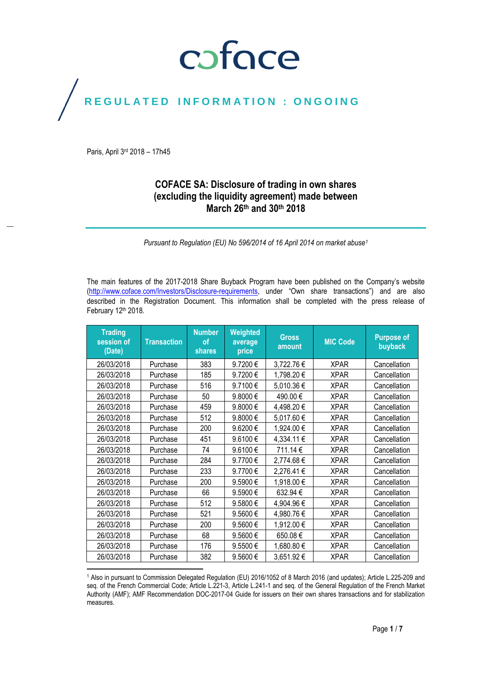## coface

## REGULATED INFORMATION : ONGOING

Paris, April 3rd 2018 – 17h45

### **COFACE SA: Disclosure of trading in own shares (excluding the liquidity agreement) made between March 26th and 30 th 2018**

*Pursuant to Regulation (EU) No 596/2014 of 16 April 2014 on market abuse<sup>1</sup>*

The main features of the 2017-2018 Share Buyback Program have been published on the Company's website [\(http://www.coface.com/Investors/Disclosure-requirements](http://www.coface.com/Investors/Disclosure-requirements), under "Own share transactions") and are also described in the Registration Document. This information shall be completed with the press release of February 12th 2018.

| <b>Trading</b><br>session of<br>(Date) | <b>Transaction</b> | <b>Number</b><br>οf<br><b>shares</b> | Weighted<br>average<br>price | <b>Gross</b><br>amount | <b>MIC Code</b> | <b>Purpose of</b><br>buyback |
|----------------------------------------|--------------------|--------------------------------------|------------------------------|------------------------|-----------------|------------------------------|
| 26/03/2018                             | Purchase           | 383                                  | 9.7200€                      | 3,722.76 €             | <b>XPAR</b>     | Cancellation                 |
| 26/03/2018                             | Purchase           | 185                                  | 9.7200€                      | 1,798.20€              | <b>XPAR</b>     | Cancellation                 |
| 26/03/2018                             | Purchase           | 516                                  | 9.7100€                      | 5,010.36€              | <b>XPAR</b>     | Cancellation                 |
| 26/03/2018                             | Purchase           | 50                                   | 9.8000€                      | 490.00€                | <b>XPAR</b>     | Cancellation                 |
| 26/03/2018                             | Purchase           | 459                                  | 9.8000€                      | 4,498.20€              | <b>XPAR</b>     | Cancellation                 |
| 26/03/2018                             | Purchase           | 512                                  | 9.8000€                      | 5,017.60€              | <b>XPAR</b>     | Cancellation                 |
| 26/03/2018                             | Purchase           | 200                                  | 9.6200€                      | 1,924.00€              | <b>XPAR</b>     | Cancellation                 |
| 26/03/2018                             | Purchase           | 451                                  | 9.6100€                      | 4,334.11€              | <b>XPAR</b>     | Cancellation                 |
| 26/03/2018                             | Purchase           | 74                                   | 9.6100€                      | 711.14€                | <b>XPAR</b>     | Cancellation                 |
| 26/03/2018                             | Purchase           | 284                                  | 9.7700€                      | 2,774.68€              | <b>XPAR</b>     | Cancellation                 |
| 26/03/2018                             | Purchase           | 233                                  | 9.7700€                      | 2,276.41 €             | <b>XPAR</b>     | Cancellation                 |
| 26/03/2018                             | Purchase           | 200                                  | 9.5900€                      | 1,918.00 €             | <b>XPAR</b>     | Cancellation                 |
| 26/03/2018                             | Purchase           | 66                                   | 9.5900€                      | 632.94 €               | <b>XPAR</b>     | Cancellation                 |
| 26/03/2018                             | Purchase           | 512                                  | 9.5800€                      | 4,904.96€              | <b>XPAR</b>     | Cancellation                 |
| 26/03/2018                             | Purchase           | 521                                  | 9.5600€                      | 4,980.76€              | <b>XPAR</b>     | Cancellation                 |
| 26/03/2018                             | Purchase           | 200                                  | 9.5600€                      | 1,912.00€              | <b>XPAR</b>     | Cancellation                 |
| 26/03/2018                             | Purchase           | 68                                   | 9.5600€                      | 650.08€                | <b>XPAR</b>     | Cancellation                 |
| 26/03/2018                             | Purchase           | 176                                  | 9.5500€                      | 1,680.80€              | <b>XPAR</b>     | Cancellation                 |
| 26/03/2018                             | Purchase           | 382                                  | 9.5600€                      | 3,651.92€              | <b>XPAR</b>     | Cancellation                 |

 $\overline{a}$ <sup>1</sup> Also in pursuant to Commission Delegated Regulation (EU) 2016/1052 of 8 March 2016 (and updates); Article L.225-209 and seq. of the French Commercial Code; Article L.221-3, Article L.241-1 and seq. of the General Regulation of the French Market Authority (AMF); AMF Recommendation DOC-2017-04 Guide for issuers on their own shares transactions and for stabilization measures.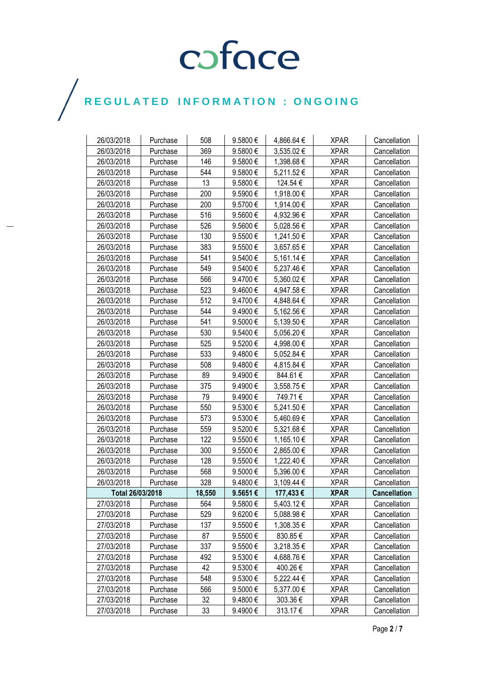| 26/03/2018       | Purchase | 508    | 9.5800€      | 4,866.64 € | <b>XPAR</b> | Cancellation        |
|------------------|----------|--------|--------------|------------|-------------|---------------------|
| 26/03/2018       | Purchase | 369    | 9.5800€      | 3,535.02€  | <b>XPAR</b> | Cancellation        |
| 26/03/2018       | Purchase | 146    | 9.5800€      | 1,398.68€  | <b>XPAR</b> | Cancellation        |
| 26/03/2018       | Purchase | 544    | 9.5800€      | 5,211.52€  | <b>XPAR</b> | Cancellation        |
| 26/03/2018       | Purchase | 13     | 9.5800€      | 124.54€    | <b>XPAR</b> | Cancellation        |
| 26/03/2018       | Purchase | 200    | 9.5900€      | 1,918.00 € | <b>XPAR</b> | Cancellation        |
| 26/03/2018       | Purchase | 200    | 9.5700€      | 1,914.00 € | <b>XPAR</b> | Cancellation        |
| 26/03/2018       | Purchase | 516    | 9.5600€      | 4,932.96 € | <b>XPAR</b> | Cancellation        |
| 26/03/2018       | Purchase | 526    | 9.5600€      | 5,028.56 € | <b>XPAR</b> | Cancellation        |
| 26/03/2018       | Purchase | 130    | 9.5500€      | 1,241.50€  | <b>XPAR</b> | Cancellation        |
| 26/03/2018       | Purchase | 383    | 9.5500 €     | 3,657.65€  | <b>XPAR</b> | Cancellation        |
| 26/03/2018       | Purchase | 541    | 9.5400€      | 5,161.14 € | <b>XPAR</b> | Cancellation        |
| 26/03/2018       | Purchase | 549    | 9.5400€      | 5,237.46€  | <b>XPAR</b> | Cancellation        |
| 26/03/2018       | Purchase | 566    | 9.4700 €     | 5,360.02€  | <b>XPAR</b> | Cancellation        |
| 26/03/2018       | Purchase | 523    | 9.4600€      | 4,947.58€  | <b>XPAR</b> | Cancellation        |
| 26/03/2018       | Purchase | 512    | 9.4700€      | 4,848.64 € | <b>XPAR</b> | Cancellation        |
| 26/03/2018       | Purchase | 544    | 9.4900€      | 5,162.56€  | <b>XPAR</b> | Cancellation        |
| 26/03/2018       | Purchase | 541    | 9.5000€      | 5,139.50€  | <b>XPAR</b> | Cancellation        |
| 26/03/2018       | Purchase | 530    | 9.5400€      | 5,056.20€  | <b>XPAR</b> | Cancellation        |
| 26/03/2018       | Purchase | 525    | 9.5200€      | 4,998.00 € | <b>XPAR</b> | Cancellation        |
| 26/03/2018       | Purchase | 533    | 9.4800€      | 5,052.84 € | <b>XPAR</b> | Cancellation        |
| 26/03/2018       | Purchase | 508    | 9.4800€      | 4,815.84 € | <b>XPAR</b> | Cancellation        |
| 26/03/2018       | Purchase | 89     | 9.4900€      | 844.61€    | <b>XPAR</b> | Cancellation        |
| 26/03/2018       | Purchase | 375    | 9.4900€      | 3,558.75€  | <b>XPAR</b> | Cancellation        |
| 26/03/2018       | Purchase | 79     | 9.4900€      | 749.71€    | <b>XPAR</b> | Cancellation        |
| 26/03/2018       | Purchase | 550    | 9.5300€      | 5,241.50 € | <b>XPAR</b> | Cancellation        |
| 26/03/2018       | Purchase | 573    | 9.5300€      | 5,460.69€  | <b>XPAR</b> | Cancellation        |
| 26/03/2018       | Purchase | 559    | 9.5200€      | 5,321.68€  | <b>XPAR</b> | Cancellation        |
| 26/03/2018       | Purchase | 122    | 9.5500€      | 1,165.10 € | <b>XPAR</b> | Cancellation        |
| 26/03/2018       | Purchase | 300    | 9.5500€      | 2,865.00 € | <b>XPAR</b> | Cancellation        |
| 26/03/2018       | Purchase | 128    | 9.5500€      | 1,222.40€  | <b>XPAR</b> | Cancellation        |
| 26/03/2018       | Purchase | 568    | 9.5000€      | 5,396.00 € | <b>XPAR</b> | Cancellation        |
| 26/03/2018       | Purchase | 328    | 9.4800€      | 3,109.44 € | <b>XPAR</b> | Cancellation        |
| Total 26/03/2018 |          | 18.550 | 9.5651€      | 177,433€   | <b>XPAR</b> | <b>Cancellation</b> |
| 27/03/2018       | Purchase | 564    | 9.5800€      | 5,403.12€  | <b>XPAR</b> | Cancellation        |
| 27/03/2018       | Purchase | 529    | 9.6200€      | 5,088.98€  | <b>XPAR</b> | Cancellation        |
| 27/03/2018       | Purchase | 137    | 9.5500€      | 1,308.35 € | <b>XPAR</b> | Cancellation        |
| 27/03/2018       | Purchase | 87     | 9.5500€      | 830.85€    | <b>XPAR</b> | Cancellation        |
| 27/03/2018       | Purchase | 337    | 9.5500€      | 3,218.35€  | <b>XPAR</b> | Cancellation        |
| 27/03/2018       | Purchase | 492    | 9.5300€      | 4,688.76€  | <b>XPAR</b> | Cancellation        |
| 27/03/2018       | Purchase | 42     | 9.5300€      | 400.26€    | <b>XPAR</b> | Cancellation        |
| 27/03/2018       | Purchase | 548    | 9.5300€      | 5,222.44 € | <b>XPAR</b> | Cancellation        |
| 27/03/2018       | Purchase | 566    | 9.5000€      | 5,377.00 € | <b>XPAR</b> | Cancellation        |
| 27/03/2018       | Purchase | 32     | $9.4800 \in$ | 303.36 €   | <b>XPAR</b> | Cancellation        |
| 27/03/2018       | Purchase | 33     | 9.4900€      | 313.17€    | <b>XPAR</b> | Cancellation        |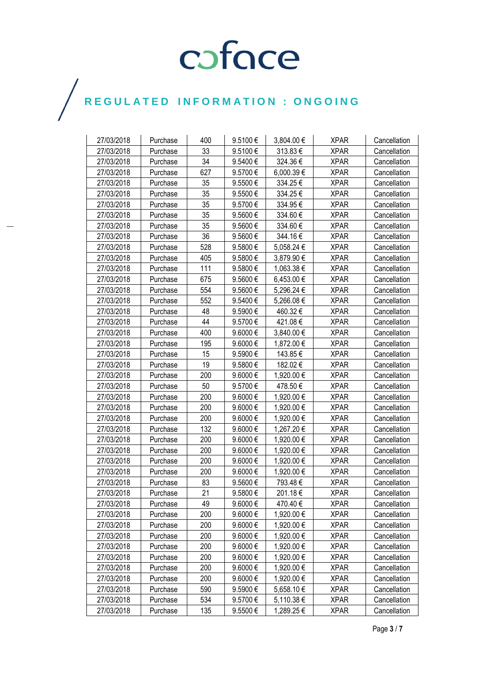| 27/03/2018 | Purchase | 400 | 9.5100€      | 3,804.00 € | <b>XPAR</b> | Cancellation |
|------------|----------|-----|--------------|------------|-------------|--------------|
| 27/03/2018 | Purchase | 33  | 9.5100€      | 313.83€    | <b>XPAR</b> | Cancellation |
| 27/03/2018 | Purchase | 34  | 9.5400€      | 324.36€    | <b>XPAR</b> | Cancellation |
| 27/03/2018 | Purchase | 627 | 9.5700€      | 6,000.39€  | <b>XPAR</b> | Cancellation |
| 27/03/2018 | Purchase | 35  | 9.5500€      | 334.25€    | <b>XPAR</b> | Cancellation |
| 27/03/2018 | Purchase | 35  | 9.5500€      | 334.25€    | <b>XPAR</b> | Cancellation |
| 27/03/2018 | Purchase | 35  | 9.5700€      | 334.95€    | <b>XPAR</b> | Cancellation |
| 27/03/2018 | Purchase | 35  | 9.5600€      | 334.60€    | <b>XPAR</b> | Cancellation |
| 27/03/2018 | Purchase | 35  | 9.5600€      | 334.60€    | XPAR        | Cancellation |
| 27/03/2018 | Purchase | 36  | 9.5600€      | 344.16€    | <b>XPAR</b> | Cancellation |
| 27/03/2018 | Purchase | 528 | 9.5800 €     | 5,058.24 € | <b>XPAR</b> | Cancellation |
| 27/03/2018 | Purchase | 405 | 9.5800 €     | 3,879.90 € | <b>XPAR</b> | Cancellation |
| 27/03/2018 | Purchase | 111 | 9.5800€      | 1,063.38 € | <b>XPAR</b> | Cancellation |
| 27/03/2018 | Purchase | 675 | 9.5600€      | 6,453.00 € | <b>XPAR</b> | Cancellation |
| 27/03/2018 | Purchase | 554 | 9.5600€      | 5,296.24 € | <b>XPAR</b> | Cancellation |
| 27/03/2018 | Purchase | 552 | 9.5400€      | 5,266.08€  | <b>XPAR</b> | Cancellation |
| 27/03/2018 | Purchase | 48  | 9.5900€      | 460.32€    | <b>XPAR</b> | Cancellation |
| 27/03/2018 | Purchase | 44  | 9.5700€      | 421.08€    | <b>XPAR</b> | Cancellation |
| 27/03/2018 | Purchase | 400 | 9.6000€      | 3,840.00 € | <b>XPAR</b> | Cancellation |
| 27/03/2018 | Purchase | 195 | 9.6000€      | 1,872.00 € | <b>XPAR</b> | Cancellation |
| 27/03/2018 | Purchase | 15  | 9.5900€      | 143.85€    | <b>XPAR</b> | Cancellation |
| 27/03/2018 | Purchase | 19  | 9.5800€      | 182.02€    | <b>XPAR</b> | Cancellation |
| 27/03/2018 | Purchase | 200 | 9.6000€      | 1,920.00 € | <b>XPAR</b> | Cancellation |
| 27/03/2018 | Purchase | 50  | 9.5700€      | 478.50€    | <b>XPAR</b> | Cancellation |
| 27/03/2018 | Purchase | 200 | 9.6000€      | 1,920.00 € | <b>XPAR</b> | Cancellation |
| 27/03/2018 | Purchase | 200 | $9.6000 \in$ | 1,920.00 € | <b>XPAR</b> | Cancellation |
| 27/03/2018 | Purchase | 200 | 9.6000€      | 1,920.00 € | <b>XPAR</b> | Cancellation |
| 27/03/2018 | Purchase | 132 | 9.6000€      | 1,267.20 € | <b>XPAR</b> | Cancellation |
| 27/03/2018 | Purchase | 200 | 9.6000€      | 1,920.00 € | <b>XPAR</b> | Cancellation |
| 27/03/2018 | Purchase | 200 | 9.6000€      | 1,920.00 € | <b>XPAR</b> | Cancellation |
| 27/03/2018 | Purchase | 200 | 9.6000€      | 1,920.00 € | <b>XPAR</b> | Cancellation |
| 27/03/2018 | Purchase | 200 | 9.6000€      | 1,920.00 € | <b>XPAR</b> | Cancellation |
| 27/03/2018 | Purchase | 83  | 9.5600€      | 793.48€    | <b>XPAR</b> | Cancellation |
| 27/03/2018 | Purchase | 21  | 9.5800€      | 201.18€    | <b>XPAR</b> | Cancellation |
| 27/03/2018 | Purchase | 49  | 9.6000€      | 470.40€    | <b>XPAR</b> | Cancellation |
| 27/03/2018 | Purchase | 200 | 9.6000€      | 1,920.00 € | <b>XPAR</b> | Cancellation |
| 27/03/2018 | Purchase | 200 | 9.6000€      | 1,920.00 € | <b>XPAR</b> | Cancellation |
| 27/03/2018 | Purchase | 200 | $9.6000 \in$ | 1,920.00 € | <b>XPAR</b> | Cancellation |
| 27/03/2018 | Purchase | 200 | 9.6000€      | 1,920.00 € | <b>XPAR</b> | Cancellation |
| 27/03/2018 | Purchase | 200 | 9.6000€      | 1,920.00 € | <b>XPAR</b> | Cancellation |
| 27/03/2018 | Purchase | 200 | 9.6000€      | 1,920.00 € | <b>XPAR</b> | Cancellation |
| 27/03/2018 | Purchase | 200 | 9.6000€      | 1,920.00 € | <b>XPAR</b> | Cancellation |
| 27/03/2018 | Purchase | 590 | 9.5900€      | 5,658.10 € | <b>XPAR</b> | Cancellation |
| 27/03/2018 | Purchase | 534 | 9.5700€      | 5,110.38 € | <b>XPAR</b> | Cancellation |
| 27/03/2018 | Purchase | 135 | 9.5500€      | 1,289.25 € | <b>XPAR</b> | Cancellation |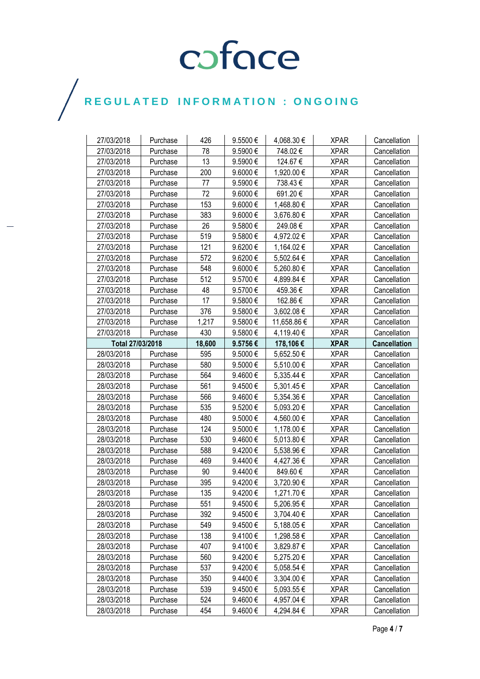| 27/03/2018       | Purchase | 426    | 9.5500€      | 4,068.30 €  | <b>XPAR</b> | Cancellation        |
|------------------|----------|--------|--------------|-------------|-------------|---------------------|
| 27/03/2018       | Purchase | 78     | 9.5900€      | 748.02€     | <b>XPAR</b> | Cancellation        |
| 27/03/2018       | Purchase | 13     | 9.5900€      | 124.67€     | <b>XPAR</b> | Cancellation        |
| 27/03/2018       | Purchase | 200    | 9.6000€      | 1,920.00 €  | <b>XPAR</b> | Cancellation        |
| 27/03/2018       | Purchase | 77     | 9.5900€      | 738.43€     | <b>XPAR</b> | Cancellation        |
| 27/03/2018       | Purchase | 72     | 9.6000€      | 691.20€     | <b>XPAR</b> | Cancellation        |
| 27/03/2018       | Purchase | 153    | 9.6000€      | 1,468.80 €  | <b>XPAR</b> | Cancellation        |
| 27/03/2018       | Purchase | 383    | 9.6000€      | 3,676.80 €  | <b>XPAR</b> | Cancellation        |
| 27/03/2018       | Purchase | 26     | 9.5800€      | 249.08€     | <b>XPAR</b> | Cancellation        |
| 27/03/2018       | Purchase | 519    | 9.5800€      | 4,972.02€   | <b>XPAR</b> | Cancellation        |
| 27/03/2018       | Purchase | 121    | 9.6200€      | 1,164.02 €  | <b>XPAR</b> | Cancellation        |
| 27/03/2018       | Purchase | 572    | 9.6200€      | 5,502.64 €  | <b>XPAR</b> | Cancellation        |
| 27/03/2018       | Purchase | 548    | 9.6000€      | 5,260.80€   | <b>XPAR</b> | Cancellation        |
| 27/03/2018       | Purchase | 512    | 9.5700€      | 4,899.84 €  | <b>XPAR</b> | Cancellation        |
| 27/03/2018       | Purchase | 48     | 9.5700€      | 459.36€     | <b>XPAR</b> | Cancellation        |
| 27/03/2018       | Purchase | 17     | 9.5800€      | 162.86€     | <b>XPAR</b> | Cancellation        |
| 27/03/2018       | Purchase | 376    | 9.5800€      | 3,602.08€   | <b>XPAR</b> | Cancellation        |
| 27/03/2018       | Purchase | 1,217  | 9.5800€      | 11,658.86 € | <b>XPAR</b> | Cancellation        |
| 27/03/2018       | Purchase | 430    | 9.5800€      | 4,119.40 €  | <b>XPAR</b> | Cancellation        |
| Total 27/03/2018 |          | 18,600 | 9.5756€      | 178,106€    | <b>XPAR</b> | <b>Cancellation</b> |
| 28/03/2018       | Purchase | 595    | 9.5000€      | 5,652.50€   | <b>XPAR</b> | Cancellation        |
| 28/03/2018       | Purchase | 580    | 9.5000€      | 5,510.00€   | <b>XPAR</b> | Cancellation        |
| 28/03/2018       | Purchase | 564    | 9.4600€      | 5,335.44 €  | <b>XPAR</b> | Cancellation        |
| 28/03/2018       | Purchase | 561    | $9.4500 \in$ | 5,301.45 €  | <b>XPAR</b> | Cancellation        |
| 28/03/2018       | Purchase | 566    | 9.4600€      | 5,354.36 €  | <b>XPAR</b> | Cancellation        |
| 28/03/2018       | Purchase | 535    | 9.5200€      | 5,093.20 €  | <b>XPAR</b> | Cancellation        |
| 28/03/2018       | Purchase | 480    | 9.5000€      | 4,560.00 €  | <b>XPAR</b> | Cancellation        |
| 28/03/2018       | Purchase | 124    | 9.5000€      | 1,178.00 €  | <b>XPAR</b> | Cancellation        |
| 28/03/2018       | Purchase | 530    | 9.4600€      | 5,013.80 €  | <b>XPAR</b> | Cancellation        |
| 28/03/2018       | Purchase | 588    | 9.4200€      | 5,538.96€   | <b>XPAR</b> | Cancellation        |
| 28/03/2018       | Purchase | 469    | 9.4400€      | 4,427.36 €  | <b>XPAR</b> | Cancellation        |
| 28/03/2018       | Purchase | 90     | 9.4400€      | 849.60€     | <b>XPAR</b> | Cancellation        |
| 28/03/2018       | Purchase | 395    | 9.4200€      | 3,720.90€   | <b>XPAR</b> | Cancellation        |
| 28/03/2018       | Purchase | 135    | 9.4200€      | 1,271.70€   | <b>XPAR</b> | Cancellation        |
| 28/03/2018       | Purchase | 551    | 9.4500€      | 5,206.95 €  | <b>XPAR</b> | Cancellation        |
| 28/03/2018       | Purchase | 392    | 9.4500€      | 3,704.40 €  | <b>XPAR</b> | Cancellation        |
| 28/03/2018       | Purchase | 549    | 9.4500€      | 5,188.05€   | <b>XPAR</b> | Cancellation        |
| 28/03/2018       | Purchase | 138    | 9.4100€      | 1,298.58 €  | <b>XPAR</b> | Cancellation        |
| 28/03/2018       | Purchase | 407    | 9.4100€      | 3,829.87 €  | <b>XPAR</b> | Cancellation        |
| 28/03/2018       | Purchase | 560    | 9.4200€      | 5,275.20€   | <b>XPAR</b> | Cancellation        |
| 28/03/2018       | Purchase | 537    | 9.4200€      | 5,058.54 €  | <b>XPAR</b> | Cancellation        |
| 28/03/2018       | Purchase | 350    | 9.4400€      | 3,304.00 €  | <b>XPAR</b> | Cancellation        |
| 28/03/2018       | Purchase | 539    | 9.4500€      | 5,093.55 €  | <b>XPAR</b> | Cancellation        |
| 28/03/2018       | Purchase | 524    | 9.4600€      | 4,957.04 €  | <b>XPAR</b> | Cancellation        |
| 28/03/2018       | Purchase | 454    | 9.4600€      | 4,294.84 €  | <b>XPAR</b> | Cancellation        |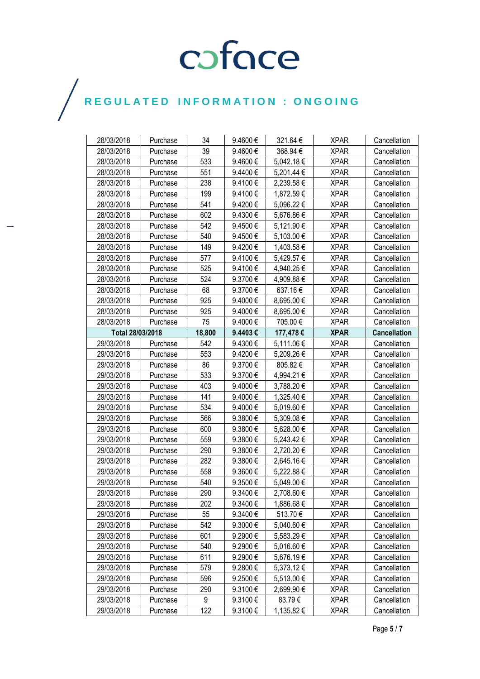| 28/03/2018       | Purchase | 34     | 9.4600€ | 321.64 €   | <b>XPAR</b> | Cancellation        |
|------------------|----------|--------|---------|------------|-------------|---------------------|
| 28/03/2018       | Purchase | 39     | 9.4600€ | 368.94€    | <b>XPAR</b> | Cancellation        |
| 28/03/2018       | Purchase | 533    | 9.4600€ | 5,042.18€  | <b>XPAR</b> | Cancellation        |
| 28/03/2018       | Purchase | 551    | 9.4400€ | 5,201.44 € | <b>XPAR</b> | Cancellation        |
| 28/03/2018       | Purchase | 238    | 9.4100€ | 2,239.58€  | <b>XPAR</b> | Cancellation        |
| 28/03/2018       | Purchase | 199    | 9.4100€ | 1,872.59€  | <b>XPAR</b> | Cancellation        |
| 28/03/2018       | Purchase | 541    | 9.4200€ | 5,096.22€  | <b>XPAR</b> | Cancellation        |
| 28/03/2018       | Purchase | 602    | 9.4300€ | 5,676.86 € | <b>XPAR</b> | Cancellation        |
| 28/03/2018       | Purchase | 542    | 9.4500€ | 5,121.90 € | <b>XPAR</b> | Cancellation        |
| 28/03/2018       | Purchase | 540    | 9.4500€ | 5,103.00 € | <b>XPAR</b> | Cancellation        |
| 28/03/2018       | Purchase | 149    | 9.4200€ | 1,403.58 € | <b>XPAR</b> | Cancellation        |
| 28/03/2018       | Purchase | 577    | 9.4100€ | 5,429.57 € | <b>XPAR</b> | Cancellation        |
| 28/03/2018       | Purchase | 525    | 9.4100€ | 4,940.25 € | <b>XPAR</b> | Cancellation        |
| 28/03/2018       | Purchase | 524    | 9.3700€ | 4,909.88 € | <b>XPAR</b> | Cancellation        |
| 28/03/2018       | Purchase | 68     | 9.3700€ | 637.16€    | <b>XPAR</b> | Cancellation        |
| 28/03/2018       | Purchase | 925    | 9.4000€ | 8,695.00 € | <b>XPAR</b> | Cancellation        |
| 28/03/2018       | Purchase | 925    | 9.4000€ | 8,695.00 € | <b>XPAR</b> | Cancellation        |
| 28/03/2018       | Purchase | 75     | 9.4000€ | 705.00€    | <b>XPAR</b> | Cancellation        |
| Total 28/03/2018 |          | 18,800 | 9.4403€ | 177,478€   | <b>XPAR</b> | <b>Cancellation</b> |
| 29/03/2018       | Purchase | 542    | 9.4300€ | 5,111.06 € | <b>XPAR</b> | Cancellation        |
| 29/03/2018       | Purchase | 553    | 9.4200€ | 5,209.26€  | <b>XPAR</b> | Cancellation        |
| 29/03/2018       | Purchase | 86     | 9.3700€ | 805.82€    | <b>XPAR</b> | Cancellation        |
| 29/03/2018       | Purchase | 533    | 9.3700€ | 4,994.21 € | <b>XPAR</b> | Cancellation        |
| 29/03/2018       | Purchase | 403    | 9.4000€ | 3,788.20 € | <b>XPAR</b> | Cancellation        |
| 29/03/2018       | Purchase | 141    | 9.4000€ | 1,325.40 € | <b>XPAR</b> | Cancellation        |
| 29/03/2018       | Purchase | 534    | 9.4000€ | 5,019.60 € | <b>XPAR</b> | Cancellation        |
| 29/03/2018       | Purchase | 566    | 9.3800€ | 5,309.08€  | <b>XPAR</b> | Cancellation        |
| 29/03/2018       | Purchase | 600    | 9.3800€ | 5,628.00 € | <b>XPAR</b> | Cancellation        |
| 29/03/2018       | Purchase | 559    | 9.3800€ | 5,243.42€  | <b>XPAR</b> | Cancellation        |
| 29/03/2018       | Purchase | 290    | 9.3800€ | 2,720.20€  | <b>XPAR</b> | Cancellation        |
| 29/03/2018       | Purchase | 282    | 9.3800€ | 2,645.16€  | <b>XPAR</b> | Cancellation        |
| 29/03/2018       | Purchase | 558    | 9.3600€ | 5,222.88€  | <b>XPAR</b> | Cancellation        |
| 29/03/2018       | Purchase | 540    | 9.3500€ | 5,049.00 € | <b>XPAR</b> | Cancellation        |
| 29/03/2018       | Purchase | 290    | 9.3400€ | 2,708.60 € | <b>XPAR</b> | Cancellation        |
| 29/03/2018       | Purchase | 202    | 9.3400€ | 1,886.68€  | <b>XPAR</b> | Cancellation        |
| 29/03/2018       | Purchase | 55     | 9.3400€ | 513.70€    | <b>XPAR</b> | Cancellation        |
| 29/03/2018       | Purchase | 542    | 9.3000€ | 5,040.60 € | <b>XPAR</b> | Cancellation        |
| 29/03/2018       | Purchase | 601    | 9.2900€ | 5,583.29€  | <b>XPAR</b> | Cancellation        |
| 29/03/2018       | Purchase | 540    | 9.2900€ | 5,016.60€  | <b>XPAR</b> | Cancellation        |
| 29/03/2018       | Purchase | 611    | 9.2900€ | 5,676.19€  | <b>XPAR</b> | Cancellation        |
| 29/03/2018       | Purchase | 579    | 9.2800€ | 5,373.12€  | <b>XPAR</b> | Cancellation        |
| 29/03/2018       | Purchase | 596    | 9.2500€ | 5,513.00 € | <b>XPAR</b> | Cancellation        |
| 29/03/2018       | Purchase | 290    | 9.3100€ | 2,699.90 € | <b>XPAR</b> | Cancellation        |
| 29/03/2018       | Purchase | 9      | 9.3100€ | 83.79€     | <b>XPAR</b> | Cancellation        |
| 29/03/2018       | Purchase | 122    | 9.3100€ | 1,135.82 € | <b>XPAR</b> | Cancellation        |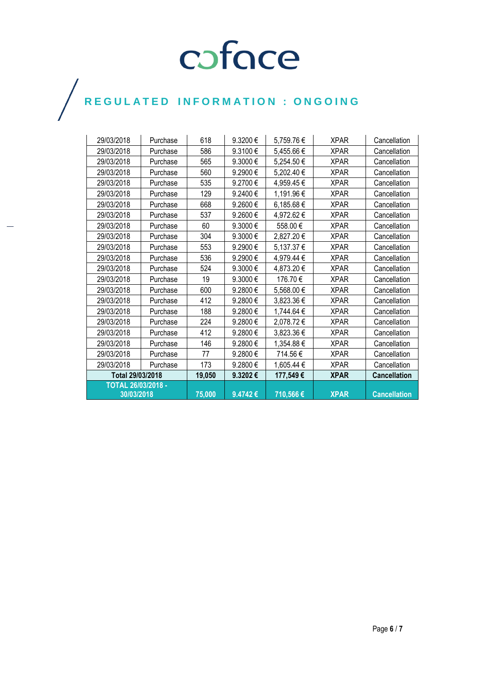| 29/03/2018                | Purchase | 618    | 9.3200€ | 5,759.76€  | <b>XPAR</b> | Cancellation        |
|---------------------------|----------|--------|---------|------------|-------------|---------------------|
| 29/03/2018                | Purchase | 586    | 9.3100€ | 5,455.66€  | <b>XPAR</b> | Cancellation        |
| 29/03/2018                | Purchase | 565    | 9.3000€ | 5,254.50€  | <b>XPAR</b> | Cancellation        |
| 29/03/2018                | Purchase | 560    | 9.2900€ | 5,202.40€  | <b>XPAR</b> | Cancellation        |
| 29/03/2018                | Purchase | 535    | 9.2700€ | 4,959.45€  | <b>XPAR</b> | Cancellation        |
| 29/03/2018                | Purchase | 129    | 9.2400€ | 1,191.96€  | <b>XPAR</b> | Cancellation        |
| 29/03/2018                | Purchase | 668    | 9.2600€ | 6,185.68€  | <b>XPAR</b> | Cancellation        |
| 29/03/2018                | Purchase | 537    | 9.2600€ | 4,972.62€  | <b>XPAR</b> | Cancellation        |
| 29/03/2018                | Purchase | 60     | 9.3000€ | 558.00€    | <b>XPAR</b> | Cancellation        |
| 29/03/2018                | Purchase | 304    | 9.3000€ | 2,827.20€  | <b>XPAR</b> | Cancellation        |
| 29/03/2018                | Purchase | 553    | 9.2900€ | 5,137.37 € | <b>XPAR</b> | Cancellation        |
| 29/03/2018                | Purchase | 536    | 9.2900€ | 4,979.44 € | <b>XPAR</b> | Cancellation        |
| 29/03/2018                | Purchase | 524    | 9.3000€ | 4,873.20 € | <b>XPAR</b> | Cancellation        |
| 29/03/2018                | Purchase | 19     | 9.3000€ | 176.70€    | <b>XPAR</b> | Cancellation        |
| 29/03/2018                | Purchase | 600    | 9.2800€ | 5,568.00 € | <b>XPAR</b> | Cancellation        |
| 29/03/2018                | Purchase | 412    | 9.2800€ | 3,823.36 € | <b>XPAR</b> | Cancellation        |
| 29/03/2018                | Purchase | 188    | 9.2800€ | 1,744.64 € | <b>XPAR</b> | Cancellation        |
| 29/03/2018                | Purchase | 224    | 9.2800€ | 2,078.72€  | <b>XPAR</b> | Cancellation        |
| 29/03/2018                | Purchase | 412    | 9.2800€ | 3,823.36 € | <b>XPAR</b> | Cancellation        |
| 29/03/2018                | Purchase | 146    | 9.2800€ | 1,354.88 € | <b>XPAR</b> | Cancellation        |
| 29/03/2018                | Purchase | 77     | 9.2800€ | 714.56€    | <b>XPAR</b> | Cancellation        |
| 29/03/2018                | Purchase | 173    | 9.2800€ | 1,605.44 € | <b>XPAR</b> | Cancellation        |
| Total 29/03/2018          |          | 19,050 | 9.3202€ | 177,549€   | <b>XPAR</b> | <b>Cancellation</b> |
| <b>TOTAL 26/03/2018 -</b> |          |        |         |            |             |                     |
| 30/03/2018                |          | 75,000 | 9.4742€ | 710,566€   | <b>XPAR</b> | <b>Cancellation</b> |